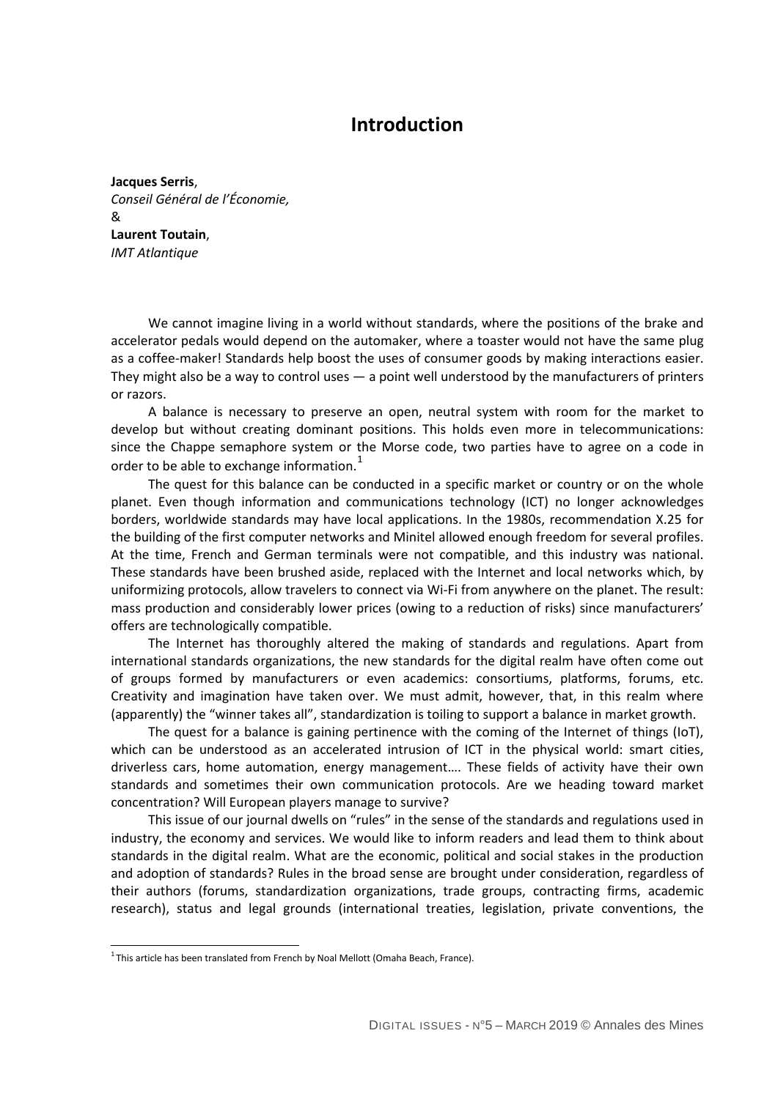## **Introduction**

**Jacques Serris**, *Conseil Général de l'Économie,*  & **Laurent Toutain**, *IMT Atlantique*

We cannot imagine living in a world without standards, where the positions of the brake and accelerator pedals would depend on the automaker, where a toaster would not have the same plug as a coffee-maker! Standards help boost the uses of consumer goods by making interactions easier. They might also be a way to control uses  $-$  a point well understood by the manufacturers of printers or razors.

A balance is necessary to preserve an open, neutral system with room for the market to develop but without creating dominant positions. This holds even more in telecommunications: since the Chappe semaphore system or the Morse code, two parties have to agree on a code in order to be able to exchange information. $<sup>1</sup>$  $<sup>1</sup>$  $<sup>1</sup>$ </sup>

The quest for this balance can be conducted in a specific market or country or on the whole planet. Even though information and communications technology (ICT) no longer acknowledges borders, worldwide standards may have local applications. In the 1980s, recommendation X.25 for the building of the first computer networks and Minitel allowed enough freedom for several profiles. At the time, French and German terminals were not compatible, and this industry was national. These standards have been brushed aside, replaced with the Internet and local networks which, by uniformizing protocols, allow travelers to connect via Wi-Fi from anywhere on the planet. The result: mass production and considerably lower prices (owing to a reduction of risks) since manufacturers' offers are technologically compatible.

The Internet has thoroughly altered the making of standards and regulations. Apart from international standards organizations, the new standards for the digital realm have often come out of groups formed by manufacturers or even academics: consortiums, platforms, forums, etc. Creativity and imagination have taken over. We must admit, however, that, in this realm where (apparently) the "winner takes all", standardization is toiling to support a balance in market growth.

The quest for a balance is gaining pertinence with the coming of the Internet of things (IoT), which can be understood as an accelerated intrusion of ICT in the physical world: smart cities, driverless cars, home automation, energy management…. These fields of activity have their own standards and sometimes their own communication protocols. Are we heading toward market concentration? Will European players manage to survive?

This issue of our journal dwells on "rules" in the sense of the standards and regulations used in industry, the economy and services. We would like to inform readers and lead them to think about standards in the digital realm. What are the economic, political and social stakes in the production and adoption of standards? Rules in the broad sense are brought under consideration, regardless of their authors (forums, standardization organizations, trade groups, contracting firms, academic research), status and legal grounds (international treaties, legislation, private conventions, the

j

<span id="page-0-0"></span> $^1$ This article has been translated from French by Noal Mellott (Omaha Beach, France).